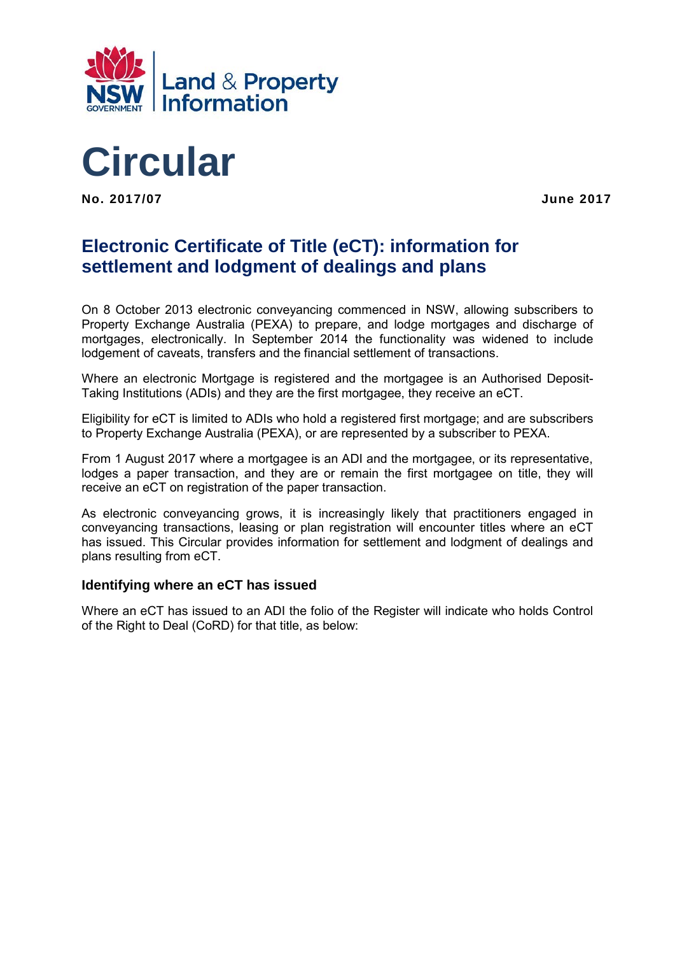



**No. 2017/07 June 2017** 

# **Electronic Certificate of Title (eCT): information for settlement and lodgment of dealings and plans**

On 8 October 2013 electronic conveyancing commenced in NSW, allowing subscribers to Property Exchange Australia (PEXA) to prepare, and lodge mortgages and discharge of mortgages, electronically. In September 2014 the functionality was widened to include lodgement of caveats, transfers and the financial settlement of transactions.

Where an electronic Mortgage is registered and the mortgagee is an Authorised Deposit-Taking Institutions (ADIs) and they are the first mortgagee, they receive an eCT.

Eligibility for eCT is limited to ADIs who hold a registered first mortgage; and are subscribers to Property Exchange Australia (PEXA), or are represented by a subscriber to PEXA.

From 1 August 2017 where a mortgagee is an ADI and the mortgagee, or its representative, lodges a paper transaction, and they are or remain the first mortgagee on title, they will receive an eCT on registration of the paper transaction.

As electronic conveyancing grows, it is increasingly likely that practitioners engaged in conveyancing transactions, leasing or plan registration will encounter titles where an eCT has issued. This Circular provides information for settlement and lodgment of dealings and plans resulting from eCT.

#### **Identifying where an eCT has issued**

Where an eCT has issued to an ADI the folio of the Register will indicate who holds Control of the Right to Deal (CoRD) for that title, as below: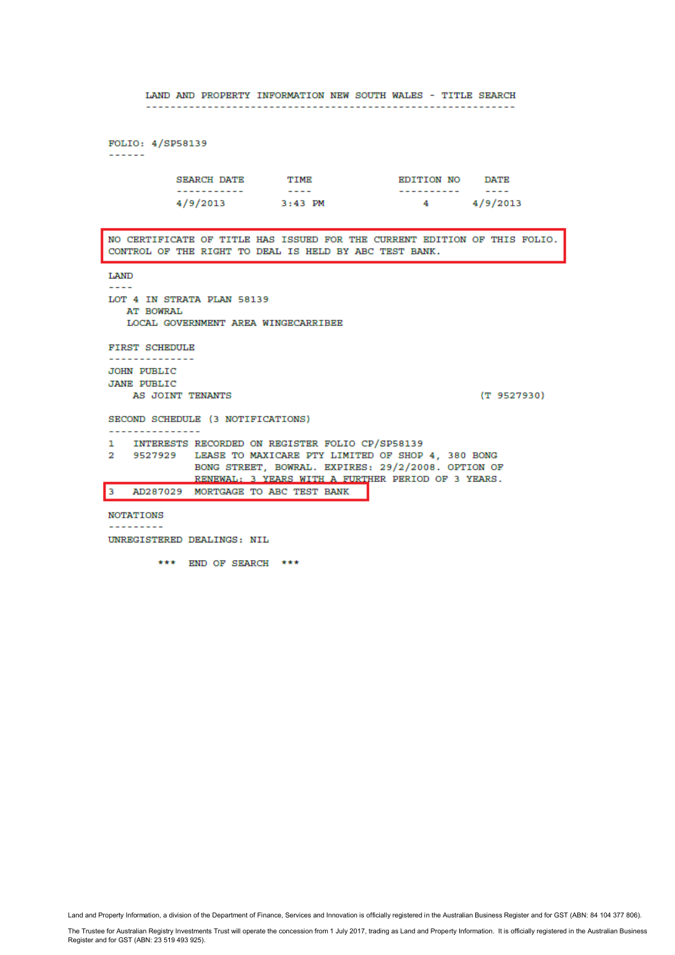LAND AND PROPERTY INFORMATION NEW SOUTH WALES - TITLE SEARCH FOLIO: 4/SP58139  $- - - - - -$ SEARCH DATE TIME EDITION NO DATE ----------- $4 \frac{4}{9}$  4/9/2013  $4/9/2013$  $3:43$  PM NO CERTIFICATE OF TITLE HAS ISSUED FOR THE CURRENT EDITION OF THIS FOLIO. CONTROL OF THE RIGHT TO DEAL IS HELD BY ABC TEST BANK. LAND . . . . . LOT 4 IN STRATA PLAN 58139 **AT BOWRAL** LOCAL GOVERNMENT AREA WINGECARRIBEE FIRST SCHEDULE . . . . . . . . . . . . . . . **JOHN PUBLIC JANE PUBLIC** AS JOINT TENANTS  $(T 9527930)$ SECOND SCHEDULE (3 NOTIFICATIONS) ---------------INTERESTS RECORDED ON REGISTER FOLIO CP/SP58139  $\mathbf{1}$ 2 9527929 LEASE TO MAXICARE PTY LIMITED OF SHOP 4, 380 BONG BONG STREET, BOWRAL. EXPIRES: 29/2/2008. OPTION OF RENEWAL: 3 YEARS WITH A FURTHER PERIOD OF 3 YEARS. AD287029 MORTGAGE TO ABC TEST BANK lз **NOTATIONS** ---------UNREGISTERED DEALINGS: NIL

\*\*\* END OF SEARCH \*\*\*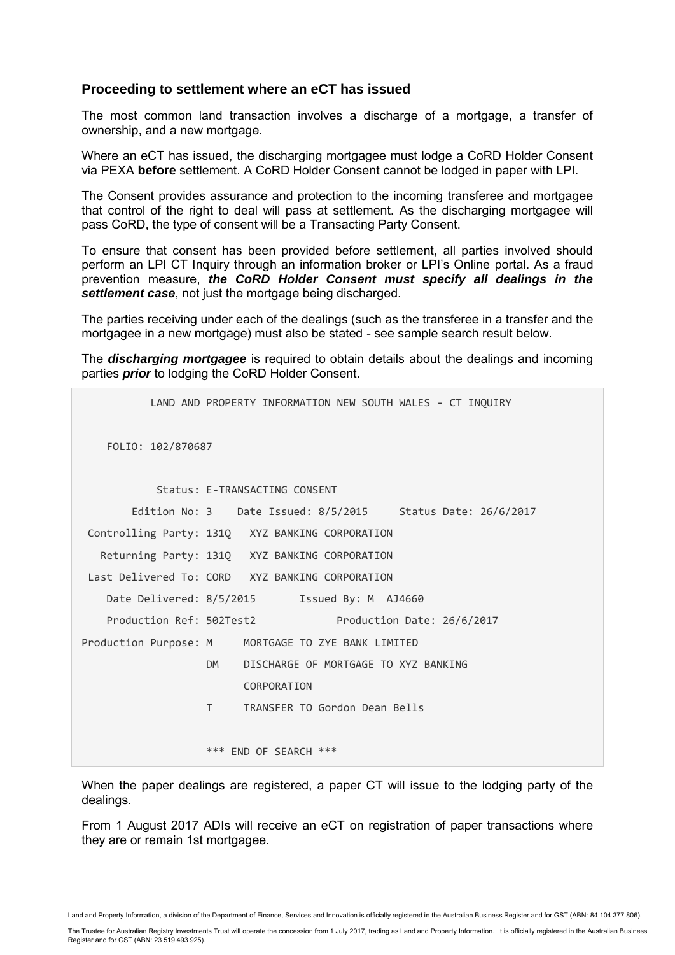#### **Proceeding to settlement where an eCT has issued**

The most common land transaction involves a discharge of a mortgage, a transfer of ownership, and a new mortgage.

Where an eCT has issued, the discharging mortgagee must lodge a CoRD Holder Consent via PEXA **before** settlement. A CoRD Holder Consent cannot be lodged in paper with LPI.

The Consent provides assurance and protection to the incoming transferee and mortgagee that control of the right to deal will pass at settlement. As the discharging mortgagee will pass CoRD, the type of consent will be a Transacting Party Consent.

To ensure that consent has been provided before settlement, all parties involved should perform an LPI CT Inquiry through an information broker or LPI's Online portal. As a fraud prevention measure, *the CoRD Holder Consent must specify all dealings in the*  **settlement case**, not just the mortgage being discharged.

The parties receiving under each of the dealings (such as the transferee in a transfer and the mortgagee in a new mortgage) must also be stated - see sample search result below.

The *discharging mortgagee* is required to obtain details about the dealings and incoming parties *prior* to lodging the CoRD Holder Consent.

|                                                    |                                                         |                               |  | LAND AND PROPERTY INFORMATION NEW SOUTH WALES - CT INQUIRY |
|----------------------------------------------------|---------------------------------------------------------|-------------------------------|--|------------------------------------------------------------|
| FOLIO: 102/870687                                  |                                                         |                               |  |                                                            |
|                                                    |                                                         | Status: E-TRANSACTING CONSENT |  |                                                            |
|                                                    |                                                         |                               |  | Edition No: 3 Date Issued: 8/5/2015 Status Date: 26/6/2017 |
| Controlling Party: 131Q XYZ BANKING CORPORATION    |                                                         |                               |  |                                                            |
| Returning Party: 131Q XYZ BANKING CORPORATION      |                                                         |                               |  |                                                            |
| Last Delivered To: CORD XYZ BANKING CORPORATION    |                                                         |                               |  |                                                            |
| Date Delivered: 8/5/2015   Issued By: M AJ4660     |                                                         |                               |  |                                                            |
| Production Ref: 502Test2                           |                                                         |                               |  | Production Date: 26/6/2017                                 |
| Production Purpose: M MORTGAGE TO ZYE BANK LIMITED |                                                         |                               |  |                                                            |
|                                                    | DISCHARGE OF MORTGAGE TO XYZ BANKING<br>DM <sub>2</sub> |                               |  |                                                            |
|                                                    |                                                         | CORPORATION                   |  |                                                            |
|                                                    | T.                                                      | TRANSFER TO Gordon Dean Bells |  |                                                            |
|                                                    |                                                         |                               |  |                                                            |
|                                                    | *** END OF SEARCH ***                                   |                               |  |                                                            |
|                                                    |                                                         |                               |  |                                                            |

When the paper dealings are registered, a paper CT will issue to the lodging party of the dealings.

From 1 August 2017 ADIs will receive an eCT on registration of paper transactions where they are or remain 1st mortgagee.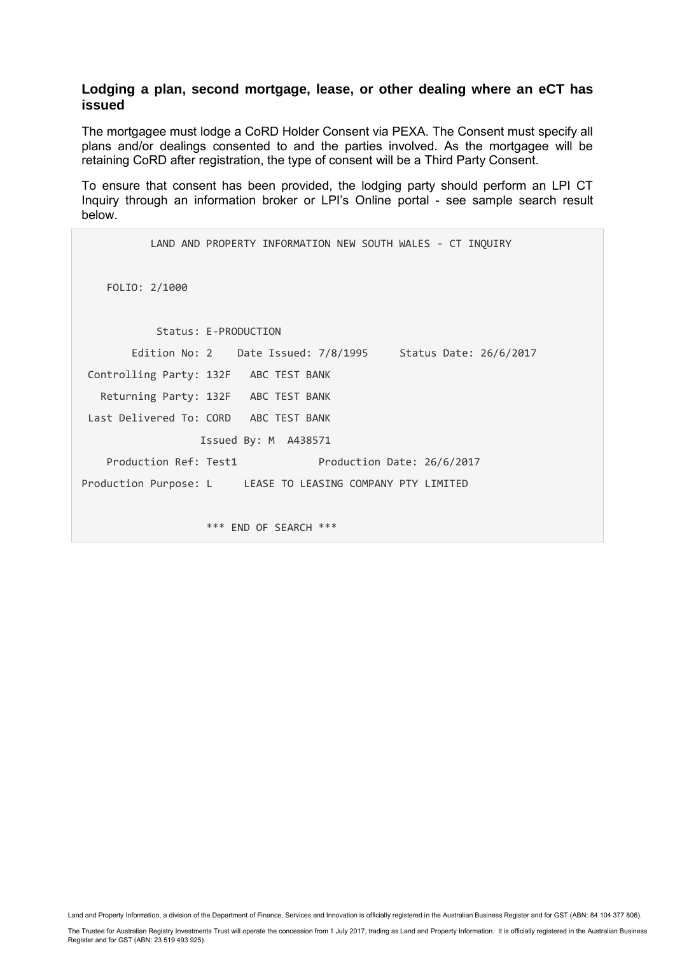#### **Lodging a plan, second mortgage, lease, or other dealing where an eCT has issued**

The mortgagee must lodge a CoRD Holder Consent via PEXA. The Consent must specify all plans and/or dealings consented to and the parties involved. As the mortgagee will be retaining CoRD after registration, the type of consent will be a Third Party Consent.

To ensure that consent has been provided, the lodging party should perform an LPI CT Inquiry through an information broker or LPI's Online portal - see sample search result below.

```
 LAND AND PROPERTY INFORMATION NEW SOUTH WALES - CT INQUIRY
    FOLIO: 2/1000
            Status: E-PRODUCTION
        Edition No: 2 Date Issued: 7/8/1995 Status Date: 26/6/2017
Controlling Party: 132F ABC TEST BANK
    Returning Party: 132F ABC TEST BANK
Last Delivered To: CORD ABC TEST BANK
                   Issued By: M A438571
   Production Ref: Test1 Production Date: 26/6/2017
Production Purpose: L LEASE TO LEASING COMPANY PTY LIMITED
                    *** END OF SEARCH ***
```